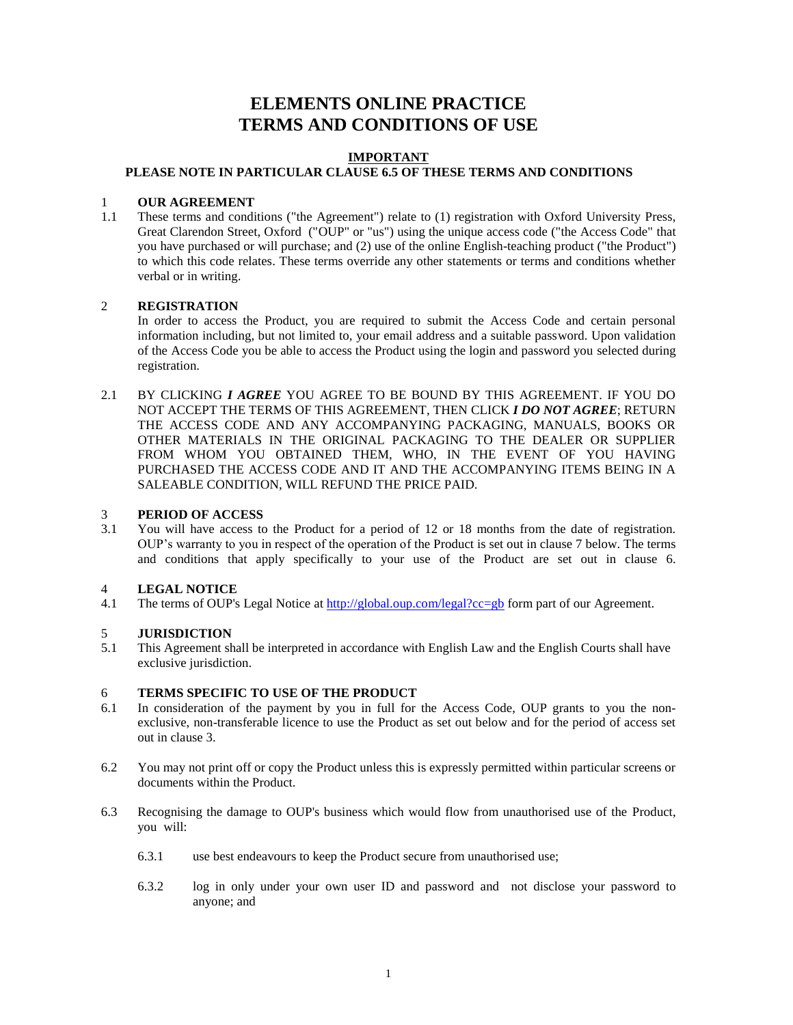## **ELEMENTS ONLINE PRACTICE TERMS AND CONDITIONS OF USE**

#### **IMPORTANT PLEASE NOTE IN PARTICULAR CLAUSE 6.5 OF THESE TERMS AND CONDITIONS**

### 1 **OUR AGREEMENT**

1.1 These terms and conditions ("the Agreement") relate to (1) registration with Oxford University Press, Great Clarendon Street, Oxford ("OUP" or "us") using the unique access code ("the Access Code" that you have purchased or will purchase; and (2) use of the online English-teaching product ("the Product") to which this code relates. These terms override any other statements or terms and conditions whether verbal or in writing.

### 2 **REGISTRATION**

In order to access the Product, you are required to submit the Access Code and certain personal information including, but not limited to, your email address and a suitable password. Upon validation of the Access Code you be able to access the Product using the login and password you selected during registration.

2.1 BY CLICKING *I AGREE* YOU AGREE TO BE BOUND BY THIS AGREEMENT. IF YOU DO NOT ACCEPT THE TERMS OF THIS AGREEMENT, THEN CLICK *I DO NOT AGREE*; RETURN THE ACCESS CODE AND ANY ACCOMPANYING PACKAGING, MANUALS, BOOKS OR OTHER MATERIALS IN THE ORIGINAL PACKAGING TO THE DEALER OR SUPPLIER FROM WHOM YOU OBTAINED THEM, WHO, IN THE EVENT OF YOU HAVING PURCHASED THE ACCESS CODE AND IT AND THE ACCOMPANYING ITEMS BEING IN A SALEABLE CONDITION, WILL REFUND THE PRICE PAID.

### 3 **PERIOD OF ACCESS**

3.1 You will have access to the Product for a period of 12 or 18 months from the date of registration. OUP's warranty to you in respect of the operation of the Product is set out in clause 7 below. The terms and conditions that apply specifically to your use of the Product are set out in clause 6.

### 4 **LEGAL NOTICE**

4.1 The terms of OUP's Legal Notice at<http://global.oup.com/legal?cc=gb> form part of our Agreement.

# 5 **JURISDICTION**<br>5.1 This Agreement sh

This Agreement shall be interpreted in accordance with English Law and the English Courts shall have exclusive jurisdiction.

### 6 **TERMS SPECIFIC TO USE OF THE PRODUCT**

- 6.1 In consideration of the payment by you in full for the Access Code, OUP grants to you the nonexclusive, non-transferable licence to use the Product as set out below and for the period of access set out in clause 3.
- 6.2 You may not print off or copy the Product unless this is expressly permitted within particular screens or documents within the Product.
- 6.3 Recognising the damage to OUP's business which would flow from unauthorised use of the Product, you will:
	- 6.3.1 use best endeavours to keep the Product secure from unauthorised use;
	- 6.3.2 log in only under your own user ID and password and not disclose your password to anyone; and